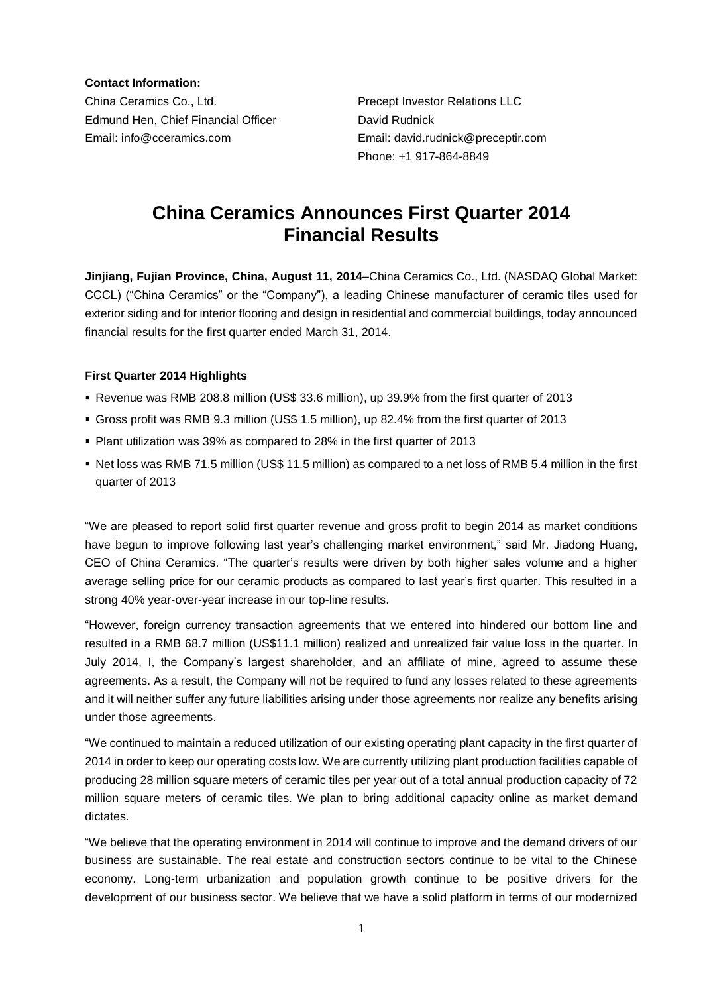**Contact Information:**

China Ceramics Co., Ltd. Precept Investor Relations LLC Edmund Hen, Chief Financial Officer **David Rudnick** Email: info@cceramics.com Email: david.rudnick@preceptir.com

Phone: +1 917-864-8849

# **China Ceramics Announces First Quarter 2014 Financial Results**

**Jinjiang, Fujian Province, China, August 11, 2014**–China Ceramics Co., Ltd. (NASDAQ Global Market: CCCL) ("China Ceramics" or the "Company"), a leading Chinese manufacturer of ceramic tiles used for exterior siding and for interior flooring and design in residential and commercial buildings, today announced financial results for the first quarter ended March 31, 2014.

# **First Quarter 2014 Highlights**

- Revenue was RMB 208.8 million (US\$ 33.6 million), up 39.9% from the first quarter of 2013
- Gross profit was RMB 9.3 million (US\$ 1.5 million), up 82.4% from the first quarter of 2013
- Plant utilization was 39% as compared to 28% in the first quarter of 2013
- Net loss was RMB 71.5 million (US\$ 11.5 million) as compared to a net loss of RMB 5.4 million in the first quarter of 2013

"We are pleased to report solid first quarter revenue and gross profit to begin 2014 as market conditions have begun to improve following last year's challenging market environment," said Mr. Jiadong Huang, CEO of China Ceramics. "The quarter's results were driven by both higher sales volume and a higher average selling price for our ceramic products as compared to last year's first quarter. This resulted in a strong 40% year-over-year increase in our top-line results.

"However, foreign currency transaction agreements that we entered into hindered our bottom line and resulted in a RMB 68.7 million (US\$11.1 million) realized and unrealized fair value loss in the quarter. In July 2014, I, the Company's largest shareholder, and an affiliate of mine, agreed to assume these agreements. As a result, the Company will not be required to fund any losses related to these agreements and it will neither suffer any future liabilities arising under those agreements nor realize any benefits arising under those agreements.

"We continued to maintain a reduced utilization of our existing operating plant capacity in the first quarter of 2014 in order to keep our operating costs low. We are currently utilizing plant production facilities capable of producing 28 million square meters of ceramic tiles per year out of a total annual production capacity of 72 million square meters of ceramic tiles. We plan to bring additional capacity online as market demand dictates.

"We believe that the operating environment in 2014 will continue to improve and the demand drivers of our business are sustainable. The real estate and construction sectors continue to be vital to the Chinese economy. Long-term urbanization and population growth continue to be positive drivers for the development of our business sector. We believe that we have a solid platform in terms of our modernized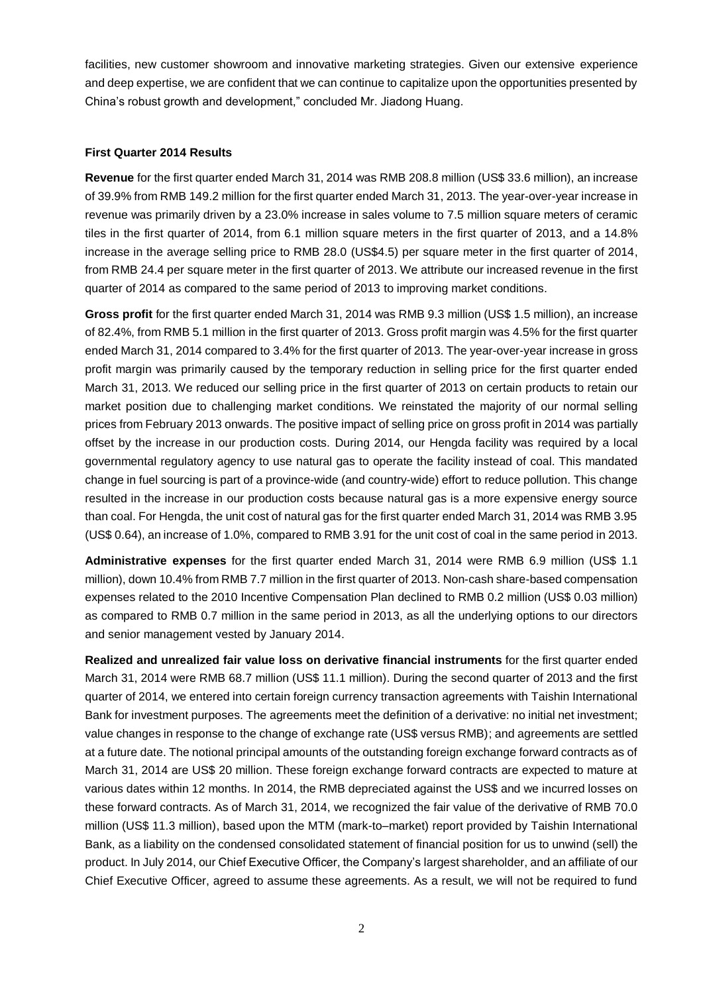facilities, new customer showroom and innovative marketing strategies. Given our extensive experience and deep expertise, we are confident that we can continue to capitalize upon the opportunities presented by China's robust growth and development," concluded Mr. Jiadong Huang.

#### **First Quarter 2014 Results**

**Revenue** for the first quarter ended March 31, 2014 was RMB 208.8 million (US\$ 33.6 million), an increase of 39.9% from RMB 149.2 million for the first quarter ended March 31, 2013. The year-over-year increase in revenue was primarily driven by a 23.0% increase in sales volume to 7.5 million square meters of ceramic tiles in the first quarter of 2014, from 6.1 million square meters in the first quarter of 2013, and a 14.8% increase in the average selling price to RMB 28.0 (US\$4.5) per square meter in the first quarter of 2014, from RMB 24.4 per square meter in the first quarter of 2013. We attribute our increased revenue in the first quarter of 2014 as compared to the same period of 2013 to improving market conditions.

**Gross profit** for the first quarter ended March 31, 2014 was RMB 9.3 million (US\$ 1.5 million), an increase of 82.4%, from RMB 5.1 million in the first quarter of 2013. Gross profit margin was 4.5% for the first quarter ended March 31, 2014 compared to 3.4% for the first quarter of 2013. The year-over-year increase in gross profit margin was primarily caused by the temporary reduction in selling price for the first quarter ended March 31, 2013. We reduced our selling price in the first quarter of 2013 on certain products to retain our market position due to challenging market conditions. We reinstated the majority of our normal selling prices from February 2013 onwards. The positive impact of selling price on gross profit in 2014 was partially offset by the increase in our production costs. During 2014, our Hengda facility was required by a local governmental regulatory agency to use natural gas to operate the facility instead of coal. This mandated change in fuel sourcing is part of a province-wide (and country-wide) effort to reduce pollution. This change resulted in the increase in our production costs because natural gas is a more expensive energy source than coal. For Hengda, the unit cost of natural gas for the first quarter ended March 31, 2014 was RMB 3.95 (US\$ 0.64), an increase of 1.0%, compared to RMB 3.91 for the unit cost of coal in the same period in 2013.

**Administrative expenses** for the first quarter ended March 31, 2014 were RMB 6.9 million (US\$ 1.1 million), down 10.4% from RMB 7.7 million in the first quarter of 2013. Non-cash share-based compensation expenses related to the 2010 Incentive Compensation Plan declined to RMB 0.2 million (US\$ 0.03 million) as compared to RMB 0.7 million in the same period in 2013, as all the underlying options to our directors and senior management vested by January 2014.

**Realized and unrealized fair value loss on derivative financial instruments** for the first quarter ended March 31, 2014 were RMB 68.7 million (US\$ 11.1 million). During the second quarter of 2013 and the first quarter of 2014, we entered into certain foreign currency transaction agreements with Taishin International Bank for investment purposes. The agreements meet the definition of a derivative: no initial net investment; value changes in response to the change of exchange rate (US\$ versus RMB); and agreements are settled at a future date. The notional principal amounts of the outstanding foreign exchange forward contracts as of March 31, 2014 are US\$ 20 million. These foreign exchange forward contracts are expected to mature at various dates within 12 months. In 2014, the RMB depreciated against the US\$ and we incurred losses on these forward contracts. As of March 31, 2014, we recognized the fair value of the derivative of RMB 70.0 million (US\$ 11.3 million), based upon the MTM (mark-to–market) report provided by Taishin International Bank, as a liability on the condensed consolidated statement of financial position for us to unwind (sell) the product. In July 2014, our Chief Executive Officer, the Company's largest shareholder, and an affiliate of our Chief Executive Officer, agreed to assume these agreements. As a result, we will not be required to fund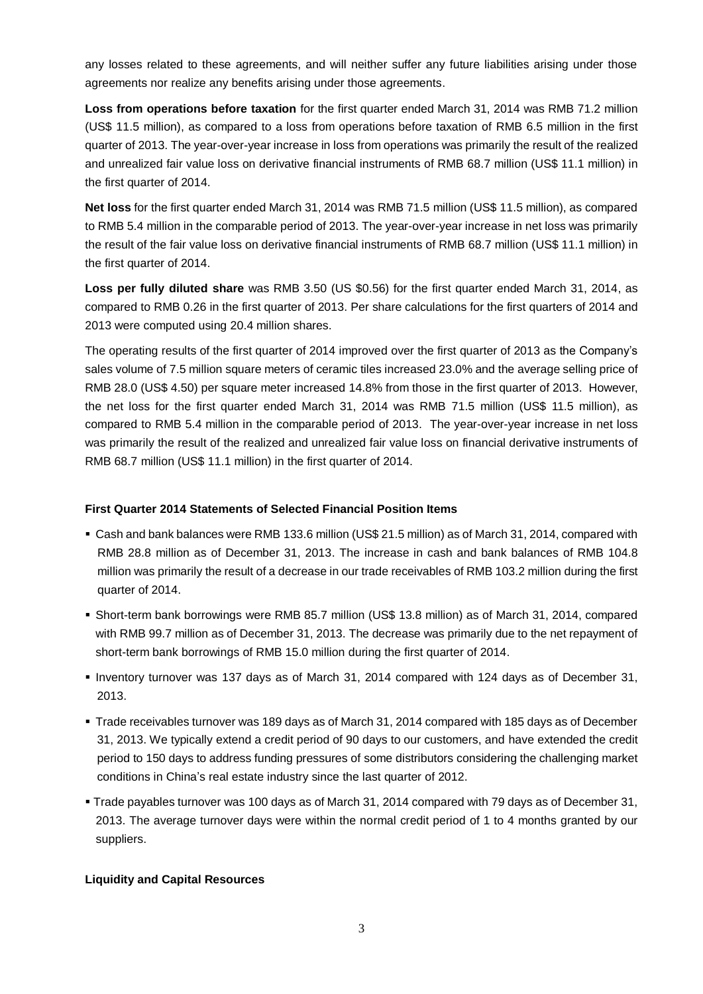any losses related to these agreements, and will neither suffer any future liabilities arising under those agreements nor realize any benefits arising under those agreements.

**Loss from operations before taxation** for the first quarter ended March 31, 2014 was RMB 71.2 million (US\$ 11.5 million), as compared to a loss from operations before taxation of RMB 6.5 million in the first quarter of 2013. The year-over-year increase in loss from operations was primarily the result of the realized and unrealized fair value loss on derivative financial instruments of RMB 68.7 million (US\$ 11.1 million) in the first quarter of 2014.

**Net loss** for the first quarter ended March 31, 2014 was RMB 71.5 million (US\$ 11.5 million), as compared to RMB 5.4 million in the comparable period of 2013. The year-over-year increase in net loss was primarily the result of the fair value loss on derivative financial instruments of RMB 68.7 million (US\$ 11.1 million) in the first quarter of 2014.

**Loss per fully diluted share** was RMB 3.50 (US \$0.56) for the first quarter ended March 31, 2014, as compared to RMB 0.26 in the first quarter of 2013. Per share calculations for the first quarters of 2014 and 2013 were computed using 20.4 million shares.

The operating results of the first quarter of 2014 improved over the first quarter of 2013 as the Company's sales volume of 7.5 million square meters of ceramic tiles increased 23.0% and the average selling price of RMB 28.0 (US\$ 4.50) per square meter increased 14.8% from those in the first quarter of 2013. However, the net loss for the first quarter ended March 31, 2014 was RMB 71.5 million (US\$ 11.5 million), as compared to RMB 5.4 million in the comparable period of 2013. The year-over-year increase in net loss was primarily the result of the realized and unrealized fair value loss on financial derivative instruments of RMB 68.7 million (US\$ 11.1 million) in the first quarter of 2014.

## **First Quarter 2014 Statements of Selected Financial Position Items**

- Cash and bank balances were RMB 133.6 million (US\$ 21.5 million) as of March 31, 2014, compared with RMB 28.8 million as of December 31, 2013. The increase in cash and bank balances of RMB 104.8 million was primarily the result of a decrease in our trade receivables of RMB 103.2 million during the first quarter of 2014.
- Short-term bank borrowings were RMB 85.7 million (US\$ 13.8 million) as of March 31, 2014, compared with RMB 99.7 million as of December 31, 2013. The decrease was primarily due to the net repayment of short-term bank borrowings of RMB 15.0 million during the first quarter of 2014.
- Inventory turnover was 137 days as of March 31, 2014 compared with 124 days as of December 31, 2013.
- Trade receivables turnover was 189 days as of March 31, 2014 compared with 185 days as of December 31, 2013. We typically extend a credit period of 90 days to our customers, and have extended the credit period to 150 days to address funding pressures of some distributors considering the challenging market conditions in China's real estate industry since the last quarter of 2012.
- Trade payables turnover was 100 days as of March 31, 2014 compared with 79 days as of December 31, 2013. The average turnover days were within the normal credit period of 1 to 4 months granted by our suppliers.

# **Liquidity and Capital Resources**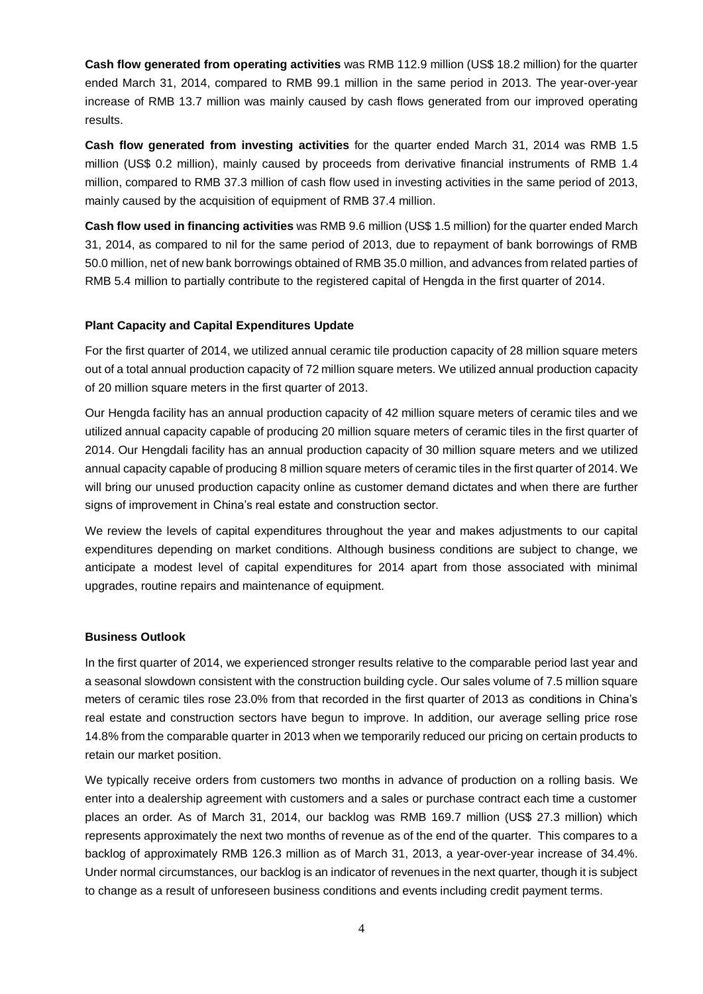**Cash flow generated from operating activities** was RMB 112.9 million (US\$ 18.2 million) for the quarter ended March 31, 2014, compared to RMB 99.1 million in the same period in 2013. The year-over-year increase of RMB 13.7 million was mainly caused by cash flows generated from our improved operating results.

**Cash flow generated from investing activities** for the quarter ended March 31, 2014 was RMB 1.5 million (US\$ 0.2 million), mainly caused by proceeds from derivative financial instruments of RMB 1.4 million, compared to RMB 37.3 million of cash flow used in investing activities in the same period of 2013, mainly caused by the acquisition of equipment of RMB 37.4 million.

**Cash flow used in financing activities** was RMB 9.6 million (US\$ 1.5 million) for the quarter ended March 31, 2014, as compared to nil for the same period of 2013, due to repayment of bank borrowings of RMB 50.0 million, net of new bank borrowings obtained of RMB 35.0 million, and advances from related parties of RMB 5.4 million to partially contribute to the registered capital of Hengda in the first quarter of 2014.

# **Plant Capacity and Capital Expenditures Update**

For the first quarter of 2014, we utilized annual ceramic tile production capacity of 28 million square meters out of a total annual production capacity of 72 million square meters. We utilized annual production capacity of 20 million square meters in the first quarter of 2013.

Our Hengda facility has an annual production capacity of 42 million square meters of ceramic tiles and we utilized annual capacity capable of producing 20 million square meters of ceramic tiles in the first quarter of 2014. Our Hengdali facility has an annual production capacity of 30 million square meters and we utilized annual capacity capable of producing 8 million square meters of ceramic tiles in the first quarter of 2014. We will bring our unused production capacity online as customer demand dictates and when there are further signs of improvement in China's real estate and construction sector.

We review the levels of capital expenditures throughout the year and makes adjustments to our capital expenditures depending on market conditions. Although business conditions are subject to change, we anticipate a modest level of capital expenditures for 2014 apart from those associated with minimal upgrades, routine repairs and maintenance of equipment.

## **Business Outlook**

In the first quarter of 2014, we experienced stronger results relative to the comparable period last year and a seasonal slowdown consistent with the construction building cycle. Our sales volume of 7.5 million square meters of ceramic tiles rose 23.0% from that recorded in the first quarter of 2013 as conditions in China's real estate and construction sectors have begun to improve. In addition, our average selling price rose 14.8% from the comparable quarter in 2013 when we temporarily reduced our pricing on certain products to retain our market position.

We typically receive orders from customers two months in advance of production on a rolling basis. We enter into a dealership agreement with customers and a sales or purchase contract each time a customer places an order. As of March 31, 2014, our backlog was RMB 169.7 million (US\$ 27.3 million) which represents approximately the next two months of revenue as of the end of the quarter. This compares to a backlog of approximately RMB 126.3 million as of March 31, 2013, a year-over-year increase of 34.4%. Under normal circumstances, our backlog is an indicator of revenues in the next quarter, though it is subject to change as a result of unforeseen business conditions and events including credit payment terms.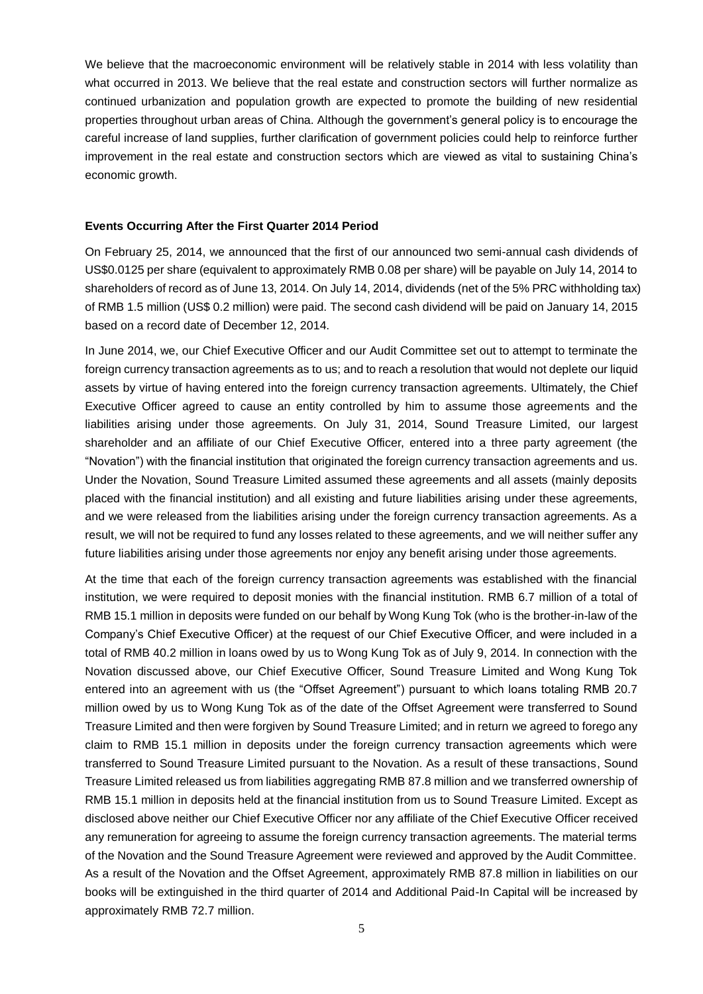We believe that the macroeconomic environment will be relatively stable in 2014 with less volatility than what occurred in 2013. We believe that the real estate and construction sectors will further normalize as continued urbanization and population growth are expected to promote the building of new residential properties throughout urban areas of China. Although the government's general policy is to encourage the careful increase of land supplies, further clarification of government policies could help to reinforce further improvement in the real estate and construction sectors which are viewed as vital to sustaining China's economic growth.

#### **Events Occurring After the First Quarter 2014 Period**

On February 25, 2014, we announced that the first of our announced two semi-annual cash dividends of US\$0.0125 per share (equivalent to approximately RMB 0.08 per share) will be payable on July 14, 2014 to shareholders of record as of June 13, 2014. On July 14, 2014, dividends (net of the 5% PRC withholding tax) of RMB 1.5 million (US\$ 0.2 million) were paid. The second cash dividend will be paid on January 14, 2015 based on a record date of December 12, 2014.

In June 2014, we, our Chief Executive Officer and our Audit Committee set out to attempt to terminate the foreign currency transaction agreements as to us; and to reach a resolution that would not deplete our liquid assets by virtue of having entered into the foreign currency transaction agreements. Ultimately, the Chief Executive Officer agreed to cause an entity controlled by him to assume those agreements and the liabilities arising under those agreements. On July 31, 2014, Sound Treasure Limited, our largest shareholder and an affiliate of our Chief Executive Officer, entered into a three party agreement (the "Novation") with the financial institution that originated the foreign currency transaction agreements and us. Under the Novation, Sound Treasure Limited assumed these agreements and all assets (mainly deposits placed with the financial institution) and all existing and future liabilities arising under these agreements, and we were released from the liabilities arising under the foreign currency transaction agreements. As a result, we will not be required to fund any losses related to these agreements, and we will neither suffer any future liabilities arising under those agreements nor enjoy any benefit arising under those agreements.

At the time that each of the foreign currency transaction agreements was established with the financial institution, we were required to deposit monies with the financial institution. RMB 6.7 million of a total of RMB 15.1 million in deposits were funded on our behalf by Wong Kung Tok (who is the brother-in-law of the Company's Chief Executive Officer) at the request of our Chief Executive Officer, and were included in a total of RMB 40.2 million in loans owed by us to Wong Kung Tok as of July 9, 2014. In connection with the Novation discussed above, our Chief Executive Officer, Sound Treasure Limited and Wong Kung Tok entered into an agreement with us (the "Offset Agreement") pursuant to which loans totaling RMB 20.7 million owed by us to Wong Kung Tok as of the date of the Offset Agreement were transferred to Sound Treasure Limited and then were forgiven by Sound Treasure Limited; and in return we agreed to forego any claim to RMB 15.1 million in deposits under the foreign currency transaction agreements which were transferred to Sound Treasure Limited pursuant to the Novation. As a result of these transactions, Sound Treasure Limited released us from liabilities aggregating RMB 87.8 million and we transferred ownership of RMB 15.1 million in deposits held at the financial institution from us to Sound Treasure Limited. Except as disclosed above neither our Chief Executive Officer nor any affiliate of the Chief Executive Officer received any remuneration for agreeing to assume the foreign currency transaction agreements. The material terms of the Novation and the Sound Treasure Agreement were reviewed and approved by the Audit Committee. As a result of the Novation and the Offset Agreement, approximately RMB 87.8 million in liabilities on our books will be extinguished in the third quarter of 2014 and Additional Paid-In Capital will be increased by approximately RMB 72.7 million.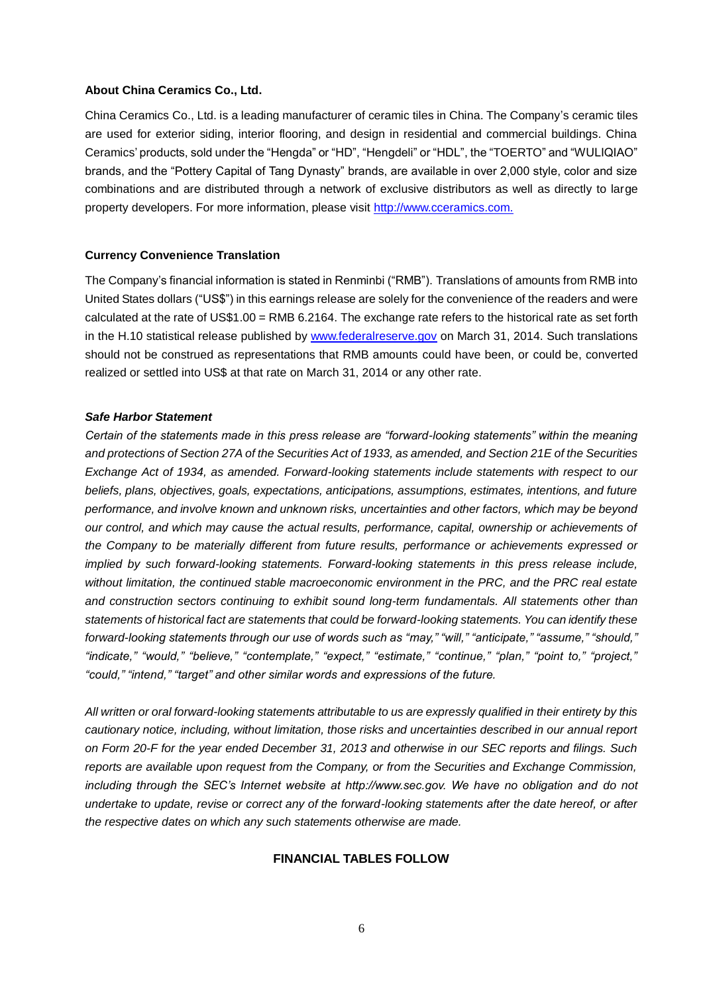#### **About China Ceramics Co., Ltd.**

China Ceramics Co., Ltd. is a leading manufacturer of ceramic tiles in China. The Company's ceramic tiles are used for exterior siding, interior flooring, and design in residential and commercial buildings. China Ceramics'products, sold under the "Hengda" or "HD", "Hengdeli" or "HDL", the "TOERTO"and "WULIQIAO" brands, and the "Pottery Capital of Tang Dynasty" brands, are available in over 2,000 style, color and size combinations and are distributed through a network of exclusive distributors as well as directly to large property developers. For more information, please visit [http://www.cceramics.com.](http://www.cceramics.com/)

#### **Currency Convenience Translation**

The Company's financial information is stated in Renminbi ("RMB"). Translations of amounts from RMB into United States dollars ("US\$") in this earnings release are solely for the convenience of the readers and were calculated at the rate of US\$1.00 = RMB 6.2164. The exchange rate refers to the historical rate as set forth in the H.10 statistical release published by [www.federalreserve.gov](http://www.federalreserve.gov/) on March 31, 2014. Such translations should not be construed as representations that RMB amounts could have been, or could be, converted realized or settled into US\$ at that rate on March 31, 2014 or any other rate.

#### *Safe Harbor Statement*

*Certain of the statements made in this press release are "forward-looking statements" within the meaning and protections of Section 27A of the Securities Act of 1933, as amended, and Section 21E of the Securities Exchange Act of 1934, as amended. Forward-looking statements include statements with respect to our beliefs, plans, objectives, goals, expectations, anticipations, assumptions, estimates, intentions, and future performance, and involve known and unknown risks, uncertainties and other factors, which may be beyond our control, and which may cause the actual results, performance, capital, ownership or achievements of the Company to be materially different from future results, performance or achievements expressed or implied by such forward-looking statements. Forward-looking statements in this press release include, without limitation, the continued stable macroeconomic environment in the PRC, and the PRC real estate and construction sectors continuing to exhibit sound long-term fundamentals. All statements other than statements of historical fact are statements that could be forward-looking statements. You can identify these forward-looking statements through our use of words such as "may," "will," "anticipate," "assume," "should," "indicate," "would," "believe," "contemplate," "expect," "estimate," "continue," "plan," "point to," "project," "could," "intend," "target" and other similar words and expressions of the future.* 

*All written or oral forward-looking statements attributable to us are expressly qualified in their entirety by this cautionary notice, including, without limitation, those risks and uncertainties described in our annual report on Form 20-F for the year ended December 31, 2013 and otherwise in our SEC reports and filings. Such reports are available upon request from the Company, or from the Securities and Exchange Commission, including through the SEC's Internet website at http://www.sec.gov. We have no obligation and do not undertake to update, revise or correct any of the forward-looking statements after the date hereof, or after the respective dates on which any such statements otherwise are made.*

#### **FINANCIAL TABLES FOLLOW**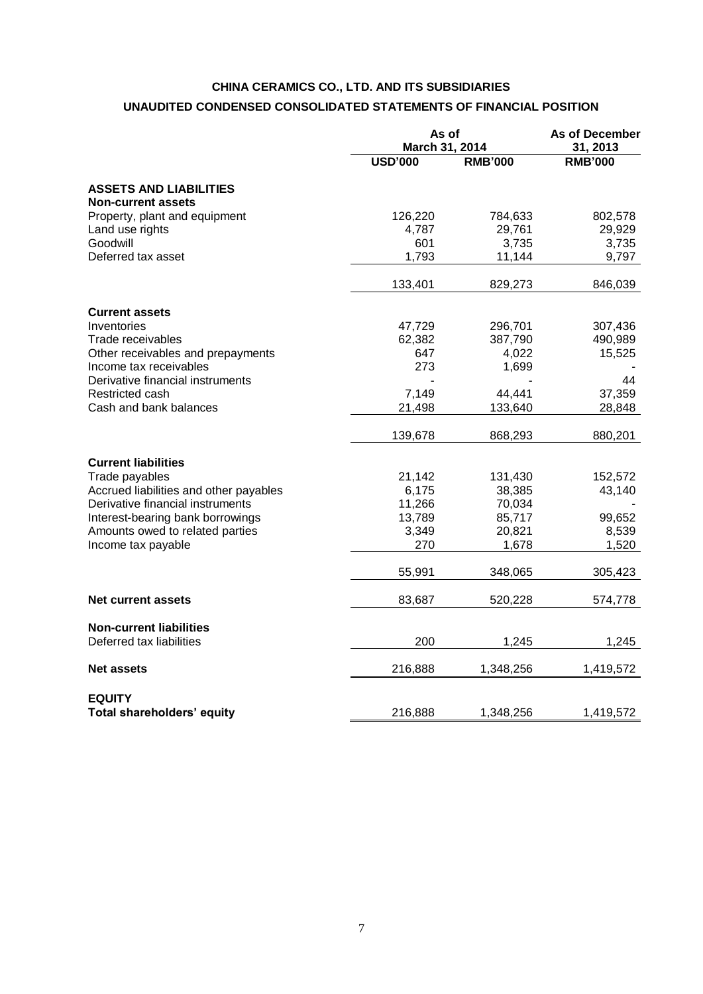# **CHINA CERAMICS CO., LTD. AND ITS SUBSIDIARIES UNAUDITED CONDENSED CONSOLIDATED STATEMENTS OF FINANCIAL POSITION**

|                                                            |                | As of<br>March 31, 2014 |                |
|------------------------------------------------------------|----------------|-------------------------|----------------|
|                                                            | <b>USD'000</b> | <b>RMB'000</b>          | <b>RMB'000</b> |
| <b>ASSETS AND LIABILITIES</b><br><b>Non-current assets</b> |                |                         |                |
| Property, plant and equipment                              | 126,220        | 784,633                 | 802,578        |
| Land use rights                                            | 4,787          | 29,761                  | 29,929         |
| Goodwill                                                   | 601            | 3,735                   | 3,735          |
| Deferred tax asset                                         | 1,793          | 11,144                  | 9,797          |
|                                                            | 133,401        | 829,273                 | 846,039        |
| <b>Current assets</b>                                      |                |                         |                |
| Inventories                                                | 47,729         | 296,701                 | 307,436        |
| Trade receivables                                          | 62,382         | 387,790                 | 490,989        |
| Other receivables and prepayments                          | 647            | 4,022                   | 15,525         |
| Income tax receivables                                     | 273            | 1,699                   |                |
| Derivative financial instruments                           |                |                         | 44             |
| Restricted cash                                            | 7,149          | 44,441                  | 37,359         |
| Cash and bank balances                                     | 21,498         | 133.640                 | 28,848         |
|                                                            | 139,678        | 868,293                 | 880,201        |
| <b>Current liabilities</b>                                 |                |                         |                |
| Trade payables                                             | 21,142         | 131,430                 | 152,572        |
| Accrued liabilities and other payables                     | 6,175          | 38,385                  | 43,140         |
| Derivative financial instruments                           | 11,266         | 70,034                  |                |
| Interest-bearing bank borrowings                           | 13,789         | 85,717                  | 99,652         |
| Amounts owed to related parties                            | 3,349          | 20,821                  | 8,539          |
| Income tax payable                                         | 270            | 1,678                   | 1,520          |
|                                                            | 55,991         | 348,065                 | 305,423        |
| <b>Net current assets</b>                                  | 83,687         | 520,228                 | 574,778        |
| <b>Non-current liabilities</b><br>Deferred tax liabilities | 200            | 1,245                   | 1,245          |
|                                                            |                |                         |                |
| <b>Net assets</b>                                          | 216,888        | 1,348,256               | 1,419,572      |
| <b>EQUITY</b>                                              |                |                         |                |
| Total shareholders' equity                                 | 216,888        | 1,348,256               | 1,419,572      |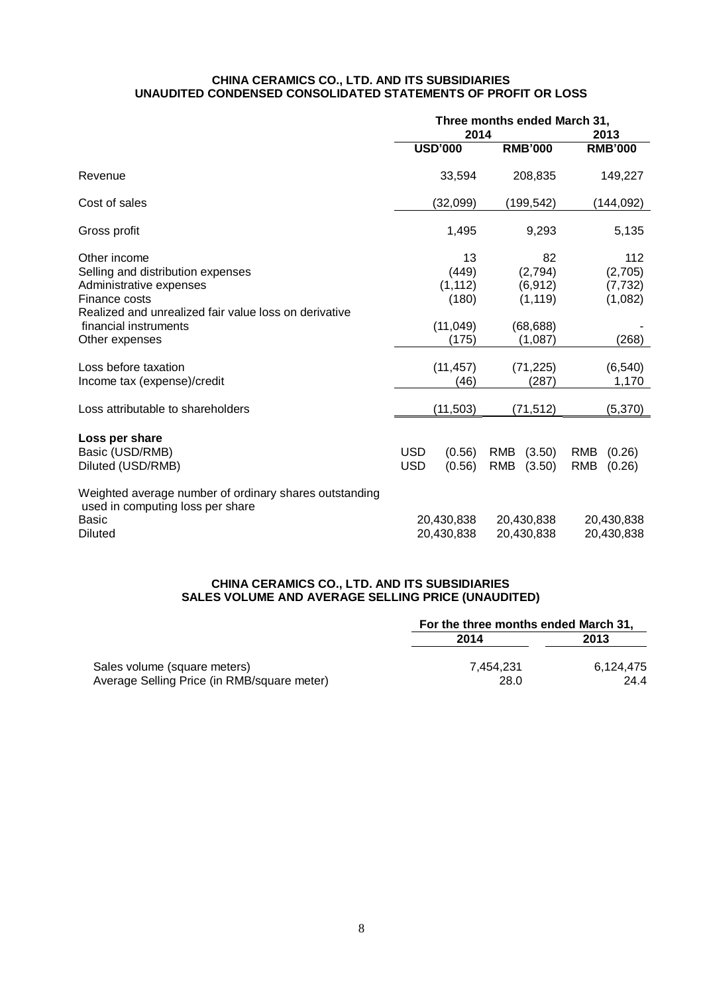#### **CHINA CERAMICS CO., LTD. AND ITS SUBSIDIARIES UNAUDITED CONDENSED CONSOLIDATED STATEMENTS OF PROFIT OR LOSS**

|                                                                                                                                                        | Three months ended March 31,<br>2014 |                                  |                          |                                       | 2013                     |                                       |
|--------------------------------------------------------------------------------------------------------------------------------------------------------|--------------------------------------|----------------------------------|--------------------------|---------------------------------------|--------------------------|---------------------------------------|
|                                                                                                                                                        |                                      | <b>USD'000</b>                   |                          | <b>RMB'000</b>                        |                          | <b>RMB'000</b>                        |
| Revenue                                                                                                                                                |                                      | 33,594                           |                          | 208,835                               |                          | 149,227                               |
| Cost of sales                                                                                                                                          |                                      | (32,099)                         |                          | (199, 542)                            |                          | (144, 092)                            |
| Gross profit                                                                                                                                           |                                      | 1,495                            |                          | 9,293                                 |                          | 5,135                                 |
| Other income<br>Selling and distribution expenses<br>Administrative expenses<br>Finance costs<br>Realized and unrealized fair value loss on derivative |                                      | 13<br>(449)<br>(1, 112)<br>(180) |                          | 82<br>(2,794)<br>(6, 912)<br>(1, 119) |                          | 112<br>(2,705)<br>(7, 732)<br>(1,082) |
| financial instruments<br>Other expenses                                                                                                                |                                      | (11, 049)<br>(175)               |                          | (68, 688)<br>(1,087)                  |                          | (268)                                 |
| Loss before taxation<br>Income tax (expense)/credit                                                                                                    |                                      | (11, 457)<br>(46)                |                          | (71, 225)<br>(287)                    |                          | (6, 540)<br>1,170                     |
| Loss attributable to shareholders                                                                                                                      |                                      | (11, 503)                        |                          | (71, 512)                             |                          | (5, 370)                              |
| Loss per share<br>Basic (USD/RMB)<br>Diluted (USD/RMB)                                                                                                 | <b>USD</b><br><b>USD</b>             | (0.56)<br>(0.56)                 | <b>RMB</b><br><b>RMB</b> | (3.50)<br>(3.50)                      | <b>RMB</b><br><b>RMB</b> | (0.26)<br>(0.26)                      |
| Weighted average number of ordinary shares outstanding<br>used in computing loss per share<br>Basic<br><b>Diluted</b>                                  |                                      | 20,430,838<br>20,430,838         |                          | 20,430,838<br>20,430,838              |                          | 20,430,838<br>20,430,838              |

#### **CHINA CERAMICS CO., LTD. AND ITS SUBSIDIARIES SALES VOLUME AND AVERAGE SELLING PRICE (UNAUDITED)**

|                                             | For the three months ended March 31, |           |  |  |
|---------------------------------------------|--------------------------------------|-----------|--|--|
|                                             | 2014                                 | 2013      |  |  |
| Sales volume (square meters)                | 7.454.231                            | 6.124.475 |  |  |
| Average Selling Price (in RMB/square meter) | 28.0                                 | 24.4      |  |  |